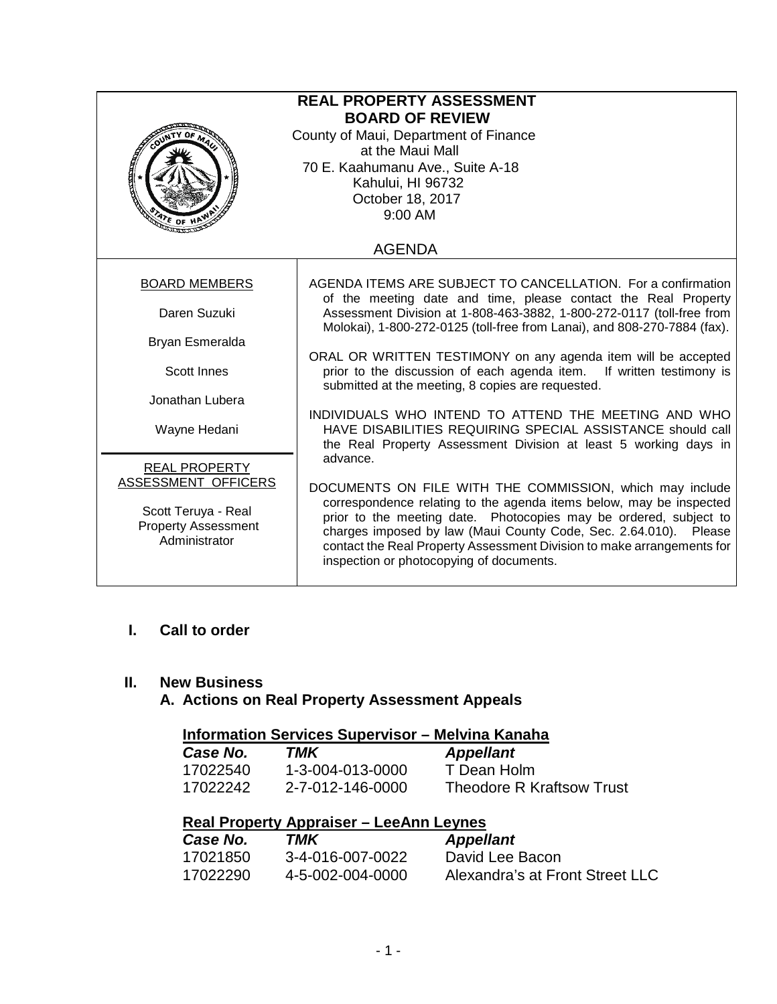| <b>REAL PROPERTY ASSESSMENT</b><br><b>BOARD OF REVIEW</b><br>County of Maui, Department of Finance<br>at the Maui Mall<br>70 E. Kaahumanu Ave., Suite A-18<br>Kahului, HI 96732<br>October 18, 2017<br>9:00 AM<br>ATE OF H |                                                                                                                                                                                                                                                                                                                                                                                                |  |
|----------------------------------------------------------------------------------------------------------------------------------------------------------------------------------------------------------------------------|------------------------------------------------------------------------------------------------------------------------------------------------------------------------------------------------------------------------------------------------------------------------------------------------------------------------------------------------------------------------------------------------|--|
|                                                                                                                                                                                                                            | <b>AGENDA</b>                                                                                                                                                                                                                                                                                                                                                                                  |  |
| <b>BOARD MEMBERS</b>                                                                                                                                                                                                       | AGENDA ITEMS ARE SUBJECT TO CANCELLATION. For a confirmation<br>of the meeting date and time, please contact the Real Property                                                                                                                                                                                                                                                                 |  |
| Daren Suzuki                                                                                                                                                                                                               | Assessment Division at 1-808-463-3882, 1-800-272-0117 (toll-free from<br>Molokai), 1-800-272-0125 (toll-free from Lanai), and 808-270-7884 (fax).                                                                                                                                                                                                                                              |  |
| Bryan Esmeralda                                                                                                                                                                                                            |                                                                                                                                                                                                                                                                                                                                                                                                |  |
| <b>Scott Innes</b>                                                                                                                                                                                                         | ORAL OR WRITTEN TESTIMONY on any agenda item will be accepted<br>prior to the discussion of each agenda item. If written testimony is<br>submitted at the meeting, 8 copies are requested.                                                                                                                                                                                                     |  |
| Jonathan Lubera                                                                                                                                                                                                            |                                                                                                                                                                                                                                                                                                                                                                                                |  |
| Wayne Hedani                                                                                                                                                                                                               | INDIVIDUALS WHO INTEND TO ATTEND THE MEETING AND WHO<br>HAVE DISABILITIES REQUIRING SPECIAL ASSISTANCE should call<br>the Real Property Assessment Division at least 5 working days in<br>advance.                                                                                                                                                                                             |  |
| <b>REAL PROPERTY</b><br>ASSESSMENT OFFICERS<br>Scott Teruya - Real<br><b>Property Assessment</b><br>Administrator                                                                                                          | DOCUMENTS ON FILE WITH THE COMMISSION, which may include<br>correspondence relating to the agenda items below, may be inspected<br>prior to the meeting date. Photocopies may be ordered, subject to<br>charges imposed by law (Maui County Code, Sec. 2.64.010). Please<br>contact the Real Property Assessment Division to make arrangements for<br>inspection or photocopying of documents. |  |

## **I. Call to order**

#### **II. New Business**

## **A. Actions on Real Property Assessment Appeals**

# **Information Services Supervisor – Melvina Kanaha**

| <b>Case No.</b> | TMK              | <b>Appellant</b>                 |
|-----------------|------------------|----------------------------------|
| 17022540        | 1-3-004-013-0000 | T Dean Holm                      |
| 17022242        | 2-7-012-146-0000 | <b>Theodore R Kraftsow Trust</b> |

## **Real Property Appraiser – LeeAnn Leynes**

| Case No. | TMK              | <b>Appellant</b>                |
|----------|------------------|---------------------------------|
| 17021850 | 3-4-016-007-0022 | David Lee Bacon                 |
| 17022290 | 4-5-002-004-0000 | Alexandra's at Front Street LLC |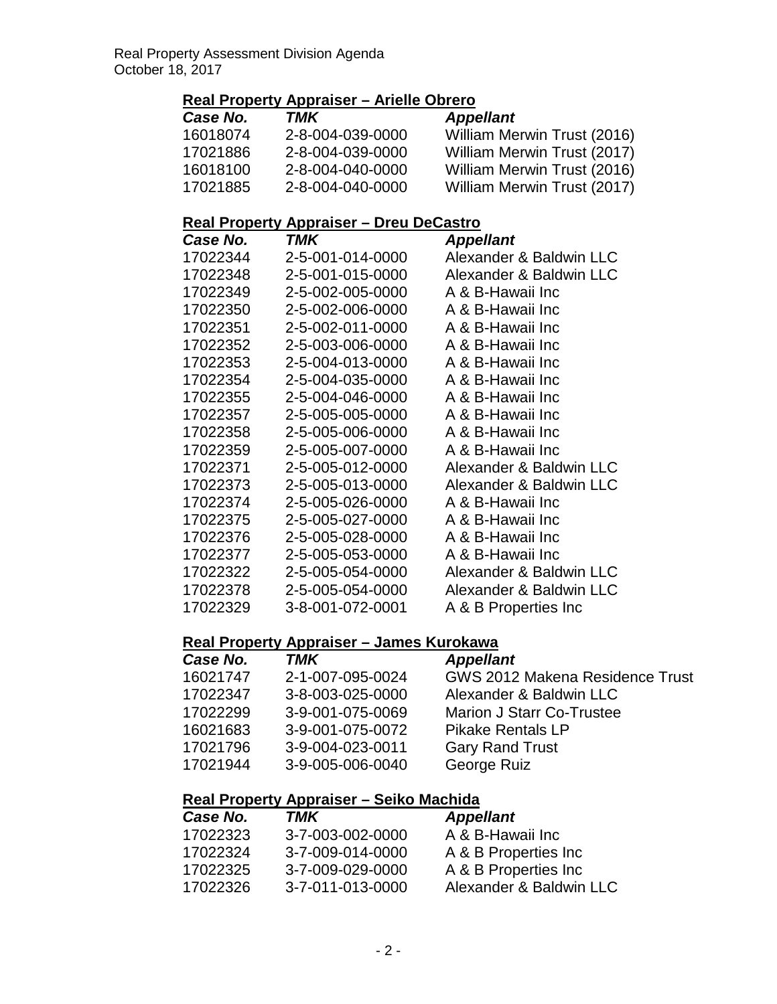## **Real Property Appraiser – Arielle Obrero**

| Case No. | TMK              | <b>Appellant</b>            |
|----------|------------------|-----------------------------|
| 16018074 | 2-8-004-039-0000 | William Merwin Trust (2016) |
| 17021886 | 2-8-004-039-0000 | William Merwin Trust (2017) |
| 16018100 | 2-8-004-040-0000 | William Merwin Trust (2016) |
| 17021885 | 2-8-004-040-0000 | William Merwin Trust (2017) |

#### **Real Property Appraiser – Dreu DeCastro**

| Case No. | TMK                                        | <b>Appellant</b>        |
|----------|--------------------------------------------|-------------------------|
|          | 17022344  2-5-001-014-0000                 | Alexander & Baldwin LLC |
|          | 17022348  2-5-001-015-0000                 | Alexander & Baldwin LLC |
| 17022349 | 2-5-002-005-0000                           | A & B-Hawaii Inc        |
| 17022350 | 2-5-002-006-0000                           | A & B-Hawaii Inc        |
| 17022351 | 2-5-002-011-0000                           | A & B-Hawaii Inc        |
|          | 17022352 2-5-003-006-0000 A & B-Hawaii Inc |                         |
| 17022353 | 2-5-004-013-0000                           | A & B-Hawaii Inc        |
|          | 17022354  2-5-004-035-0000                 | A & B-Hawaii Inc        |
|          | 17022355 2-5-004-046-0000 A & B-Hawaii Inc |                         |
|          | 17022357  2-5-005-005-0000                 | A & B-Hawaii Inc        |
| 17022358 | 2-5-005-006-0000                           | A & B-Hawaii Inc        |
|          | 17022359  2-5-005-007-0000                 | A & B-Hawaii Inc        |
|          | 17022371  2-5-005-012-0000                 | Alexander & Baldwin LLC |
| 17022373 | 2-5-005-013-0000                           | Alexander & Baldwin LLC |
| 17022374 | 2-5-005-026-0000                           | A & B-Hawaii Inc        |
|          | 17022375  2-5-005-027-0000                 | A & B-Hawaii Inc        |
| 17022376 | 2-5-005-028-0000                           | A & B-Hawaii Inc        |
|          | 17022377  2-5-005-053-0000                 | A & B-Hawaii Inc        |
|          | 17022322  2-5-005-054-0000                 | Alexander & Baldwin LLC |
|          |                                            | Alexander & Baldwin LLC |
|          | 17022329 3-8-001-072-0001                  | A & B Properties Inc.   |
|          |                                            |                         |

#### **Real Property Appraiser – James Kurokawa**

| Case No. | TMK              | <b>Appellant</b>                       |
|----------|------------------|----------------------------------------|
| 16021747 | 2-1-007-095-0024 | <b>GWS 2012 Makena Residence Trust</b> |
| 17022347 | 3-8-003-025-0000 | Alexander & Baldwin LLC                |
| 17022299 | 3-9-001-075-0069 | <b>Marion J Starr Co-Trustee</b>       |
| 16021683 | 3-9-001-075-0072 | <b>Pikake Rentals LP</b>               |
| 17021796 | 3-9-004-023-0011 | <b>Gary Rand Trust</b>                 |
| 17021944 | 3-9-005-006-0040 | George Ruiz                            |

### **Real Property Appraiser – Seiko Machida**

| Case No. | TMK              | <b>Appellant</b>        |
|----------|------------------|-------------------------|
| 17022323 | 3-7-003-002-0000 | A & B-Hawaii Inc        |
| 17022324 | 3-7-009-014-0000 | A & B Properties Inc    |
| 17022325 | 3-7-009-029-0000 | A & B Properties Inc    |
| 17022326 | 3-7-011-013-0000 | Alexander & Baldwin LLC |
|          |                  |                         |